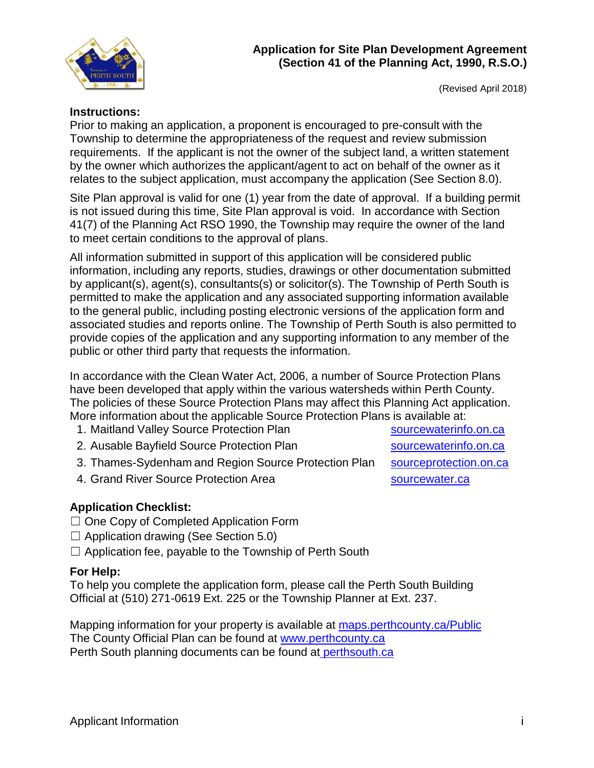

(Revised April 2018)

## **Instructions:**

Prior to making an application, a proponent is encouraged to pre-consult with the Township to determine the appropriateness of the request and review submission requirements. If the applicant is not the owner of the subject land, a written statement by the owner which authorizes the applicant/agent to act on behalf of the owner as it relates to the subject application, must accompany the application (See Section 8.0).

Site Plan approval is valid for one (1) year from the date of approval. If a building permit is not issued during this time, Site Plan approval is void. In accordance with Section 41(7) of the Planning Act RSO 1990, the Township may require the owner of the land to meet certain conditions to the approval of plans.

All information submitted in support of this application will be considered public information, including any reports, studies, drawings or other documentation submitted by applicant(s), agent(s), consultants(s) or solicitor(s). The Township of Perth South is permitted to make the application and any associated supporting information available to the general public, including posting electronic versions of the application form and associated studies and reports online. The Township of Perth South is also permitted to provide copies of the application and any supporting information to any member of the public or other third party that requests the information.

In accordance with the Clean Water Act, 2006, a number of Source Protection Plans have been developed that apply within the various watersheds within Perth County. The policies of these Source Protection Plans may affect this Planning Act application. More information about the applicable Source Protection Plans is available at:

- 1. Maitland Valley Source Protection Plan subsetsion [sourcewaterinfo.on.ca](http://sourcewaterinfo.on.ca/)
- 2. Ausable Bayfield Source Protection Plan [sourcewaterinfo.on.ca](http://sourcewaterinfo.on.ca/)
- 3. Thames-Sydenham and Region Source Protection Plan [sourceprotection.on.ca](http://www.sourceprotection.on.ca/)
- 4. Grand River Source Protection Area strategy and [sourcewater.ca](http://www.sourcewater.ca/)

## **Application Checklist:**

- ☐ One Copy of Completed Application Form
- $\Box$  Application drawing (See Section 5.0)
- $\Box$  Application fee, payable to the Township of Perth South

## **For Help:**

To help you complete the application form, please call the Perth South Building Official at (510) 271-0619 Ext. 225 or the Township Planner at Ext. 237.

Mapping information for your property is available at maps.perthcounty.ca/Public The County Official Plan can be found at [www.perthcounty.ca](http://www.perthcounty.ca/County_of_Perth_Official_Plan) Perth South planning documents can be found at [perthsouth.ca](http://www.perthsouth.ca/content/planning)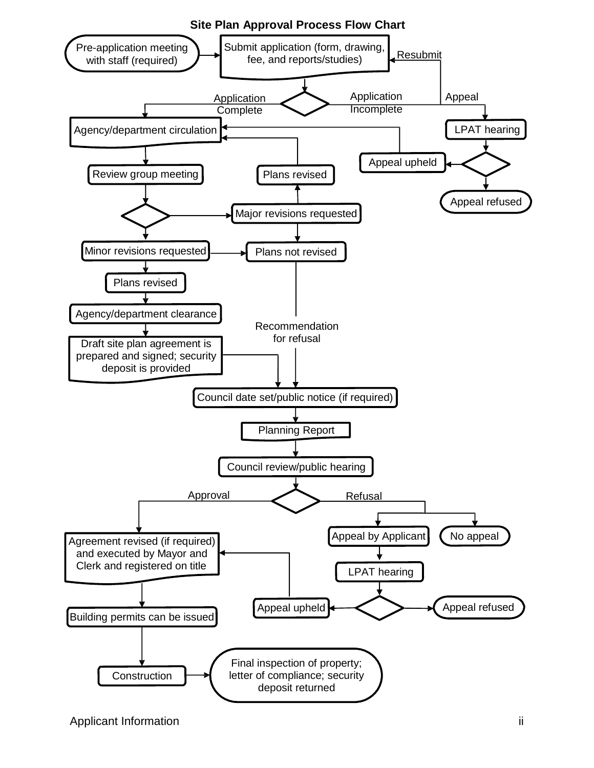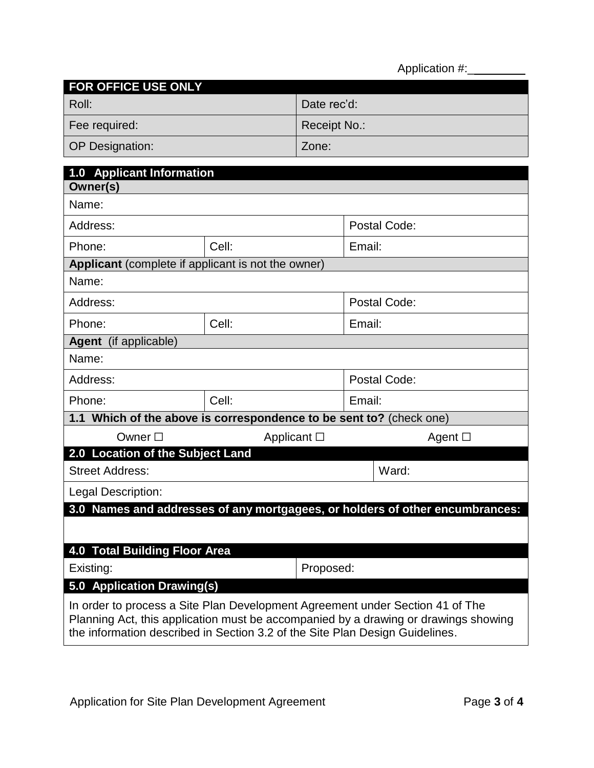Application #:\_

| <b>FOR OFFICE USE ONLY</b> |              |
|----------------------------|--------------|
| Roll:                      | Date rec'd:  |
| Fee required:              | Receipt No.: |
| <b>OP Designation:</b>     | Zone:        |

| 1.0 Applicant Information                                                                                                                                                                                                                            |                                                                     |              |              |  |  |  |  |
|------------------------------------------------------------------------------------------------------------------------------------------------------------------------------------------------------------------------------------------------------|---------------------------------------------------------------------|--------------|--------------|--|--|--|--|
| Owner(s)                                                                                                                                                                                                                                             |                                                                     |              |              |  |  |  |  |
| Name:                                                                                                                                                                                                                                                |                                                                     |              |              |  |  |  |  |
| Address:                                                                                                                                                                                                                                             |                                                                     | Postal Code: |              |  |  |  |  |
| Phone:                                                                                                                                                                                                                                               | Cell:                                                               | Email:       |              |  |  |  |  |
| Applicant (complete if applicant is not the owner)                                                                                                                                                                                                   |                                                                     |              |              |  |  |  |  |
| Name:                                                                                                                                                                                                                                                |                                                                     |              |              |  |  |  |  |
| Address:                                                                                                                                                                                                                                             |                                                                     | Postal Code: |              |  |  |  |  |
| Phone:                                                                                                                                                                                                                                               | Cell:                                                               | Email:       |              |  |  |  |  |
| Agent (if applicable)                                                                                                                                                                                                                                |                                                                     |              |              |  |  |  |  |
| Name:                                                                                                                                                                                                                                                |                                                                     |              |              |  |  |  |  |
| Address:                                                                                                                                                                                                                                             |                                                                     | Postal Code: |              |  |  |  |  |
| Phone:                                                                                                                                                                                                                                               | Cell:                                                               | Email:       |              |  |  |  |  |
|                                                                                                                                                                                                                                                      | 1.1 Which of the above is correspondence to be sent to? (check one) |              |              |  |  |  |  |
| Owner $\square$                                                                                                                                                                                                                                      | Applicant $\Box$                                                    |              | Agent $\Box$ |  |  |  |  |
| 2.0 Location of the Subject Land                                                                                                                                                                                                                     |                                                                     |              |              |  |  |  |  |
| <b>Street Address:</b>                                                                                                                                                                                                                               |                                                                     |              | Ward:        |  |  |  |  |
| Legal Description:                                                                                                                                                                                                                                   |                                                                     |              |              |  |  |  |  |
| 3.0 Names and addresses of any mortgagees, or holders of other encumbrances:                                                                                                                                                                         |                                                                     |              |              |  |  |  |  |
|                                                                                                                                                                                                                                                      |                                                                     |              |              |  |  |  |  |
| <b>4.0 Total Building Floor Area</b>                                                                                                                                                                                                                 |                                                                     |              |              |  |  |  |  |
| Proposed:<br>Existing:                                                                                                                                                                                                                               |                                                                     |              |              |  |  |  |  |
| 5.0 Application Drawing(s)                                                                                                                                                                                                                           |                                                                     |              |              |  |  |  |  |
| In order to process a Site Plan Development Agreement under Section 41 of The<br>Planning Act, this application must be accompanied by a drawing or drawings showing<br>the information described in Section 3.2 of the Site Plan Design Guidelines. |                                                                     |              |              |  |  |  |  |